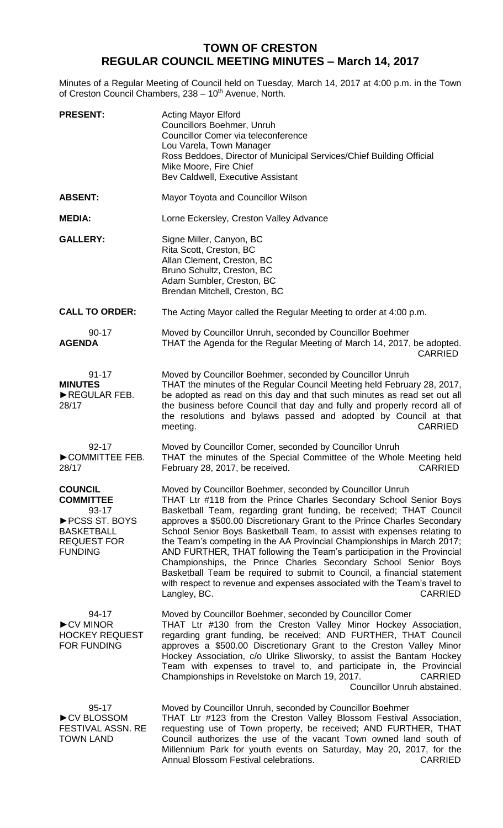## **TOWN OF CRESTON REGULAR COUNCIL MEETING MINUTES – March 14, 2017**

Minutes of a Regular Meeting of Council held on Tuesday, March 14, 2017 at 4:00 p.m. in the Town of Creston Council Chambers, 238 - 10<sup>th</sup> Avenue, North.

| <b>PRESENT:</b>                                                                                                             | <b>Acting Mayor Elford</b><br>Councillors Boehmer, Unruh<br>Councillor Comer via teleconference<br>Lou Varela, Town Manager<br>Ross Beddoes, Director of Municipal Services/Chief Building Official<br>Mike Moore, Fire Chief<br>Bev Caldwell, Executive Assistant                                                                                                                                                                                                                                                                                                                                                                                                                                                                                                           |
|-----------------------------------------------------------------------------------------------------------------------------|------------------------------------------------------------------------------------------------------------------------------------------------------------------------------------------------------------------------------------------------------------------------------------------------------------------------------------------------------------------------------------------------------------------------------------------------------------------------------------------------------------------------------------------------------------------------------------------------------------------------------------------------------------------------------------------------------------------------------------------------------------------------------|
| <b>ABSENT:</b>                                                                                                              | Mayor Toyota and Councillor Wilson                                                                                                                                                                                                                                                                                                                                                                                                                                                                                                                                                                                                                                                                                                                                           |
| <b>MEDIA:</b>                                                                                                               | Lorne Eckersley, Creston Valley Advance                                                                                                                                                                                                                                                                                                                                                                                                                                                                                                                                                                                                                                                                                                                                      |
| <b>GALLERY:</b>                                                                                                             | Signe Miller, Canyon, BC<br>Rita Scott, Creston, BC<br>Allan Clement, Creston, BC<br>Bruno Schultz, Creston, BC<br>Adam Sumbler, Creston, BC<br>Brendan Mitchell, Creston, BC                                                                                                                                                                                                                                                                                                                                                                                                                                                                                                                                                                                                |
| <b>CALL TO ORDER:</b>                                                                                                       | The Acting Mayor called the Regular Meeting to order at 4:00 p.m.                                                                                                                                                                                                                                                                                                                                                                                                                                                                                                                                                                                                                                                                                                            |
| $90 - 17$<br><b>AGENDA</b>                                                                                                  | Moved by Councillor Unruh, seconded by Councillor Boehmer<br>THAT the Agenda for the Regular Meeting of March 14, 2017, be adopted.<br><b>CARRIED</b>                                                                                                                                                                                                                                                                                                                                                                                                                                                                                                                                                                                                                        |
| $91 - 17$<br><b>MINUTES</b><br>REGULAR FEB.<br>28/17                                                                        | Moved by Councillor Boehmer, seconded by Councillor Unruh<br>THAT the minutes of the Regular Council Meeting held February 28, 2017,<br>be adopted as read on this day and that such minutes as read set out all<br>the business before Council that day and fully and properly record all of<br>the resolutions and bylaws passed and adopted by Council at that<br><b>CARRIED</b><br>meeting.                                                                                                                                                                                                                                                                                                                                                                              |
| $92 - 17$<br>COMMITTEE FEB.<br>28/17                                                                                        | Moved by Councillor Comer, seconded by Councillor Unruh<br>THAT the minutes of the Special Committee of the Whole Meeting held<br>February 28, 2017, be received.<br><b>CARRIED</b>                                                                                                                                                                                                                                                                                                                                                                                                                                                                                                                                                                                          |
| <b>COUNCIL</b><br><b>COMMITTEE</b><br>93-17<br>▶ PCSS ST. BOYS<br><b>BASKETBALL</b><br><b>REQUEST FOR</b><br><b>FUNDING</b> | Moved by Councillor Boehmer, seconded by Councillor Unruh<br>THAT Ltr #118 from the Prince Charles Secondary School Senior Boys<br>Basketball Team, regarding grant funding, be received; THAT Council<br>approves a \$500.00 Discretionary Grant to the Prince Charles Secondary<br>School Senior Boys Basketball Team, to assist with expenses relating to<br>the Team's competing in the AA Provincial Championships in March 2017;<br>AND FURTHER, THAT following the Team's participation in the Provincial<br>Championships, the Prince Charles Secondary School Senior Boys<br>Basketball Team be required to submit to Council, a financial statement<br>with respect to revenue and expenses associated with the Team's travel to<br>Langley, BC.<br><b>CARRIED</b> |
| 94-17<br>CV MINOR<br><b>HOCKEY REQUEST</b><br>FOR FUNDING                                                                   | Moved by Councillor Boehmer, seconded by Councillor Comer<br>THAT Ltr #130 from the Creston Valley Minor Hockey Association,<br>regarding grant funding, be received; AND FURTHER, THAT Council<br>approves a \$500.00 Discretionary Grant to the Creston Valley Minor<br>Hockey Association, c/o Ulrike Sliworsky, to assist the Bantam Hockey<br>Team with expenses to travel to, and participate in, the Provincial<br>Championships in Revelstoke on March 19, 2017.<br><b>CARRIED</b><br>Councillor Unruh abstained.                                                                                                                                                                                                                                                    |
| 95-17<br>CV BLOSSOM<br>FESTIVAL ASSN. RE<br><b>TOWN LAND</b>                                                                | Moved by Councillor Unruh, seconded by Councillor Boehmer<br>THAT Ltr #123 from the Creston Valley Blossom Festival Association,<br>requesting use of Town property, be received; AND FURTHER, THAT<br>Council authorizes the use of the vacant Town owned land south of<br>Millennium Park for youth events on Saturday, May 20, 2017, for the<br>Annual Blossom Festival celebrations.<br><b>CARRIED</b>                                                                                                                                                                                                                                                                                                                                                                   |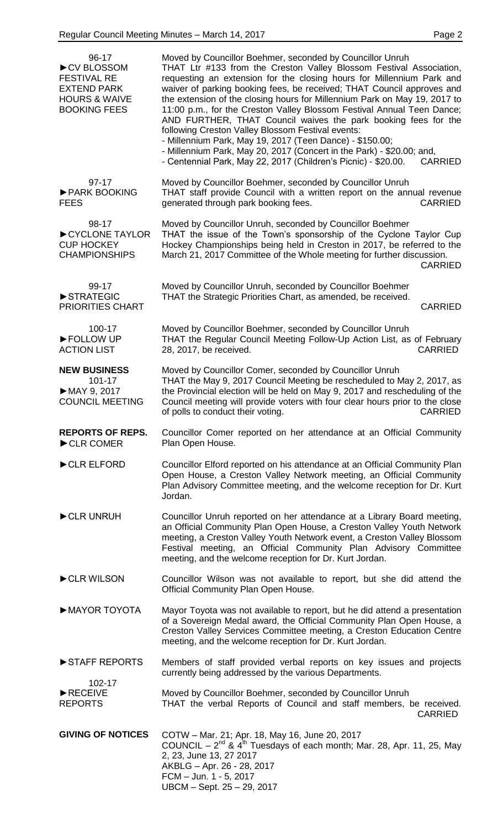| $96 - 17$<br>CV BLOSSOM<br><b>FESTIVAL RE</b><br><b>EXTEND PARK</b><br><b>HOURS &amp; WAIVE</b><br><b>BOOKING FEES</b> | Moved by Councillor Boehmer, seconded by Councillor Unruh<br>THAT Ltr #133 from the Creston Valley Blossom Festival Association,<br>requesting an extension for the closing hours for Millennium Park and<br>waiver of parking booking fees, be received; THAT Council approves and<br>the extension of the closing hours for Millennium Park on May 19, 2017 to<br>11:00 p.m., for the Creston Valley Blossom Festival Annual Teen Dance;<br>AND FURTHER, THAT Council waives the park booking fees for the<br>following Creston Valley Blossom Festival events:<br>- Millennium Park, May 19, 2017 (Teen Dance) - \$150.00;<br>- Millennium Park, May 20, 2017 (Concert in the Park) - \$20.00; and,<br>- Centennial Park, May 22, 2017 (Children's Picnic) - \$20.00.<br><b>CARRIED</b> |
|------------------------------------------------------------------------------------------------------------------------|--------------------------------------------------------------------------------------------------------------------------------------------------------------------------------------------------------------------------------------------------------------------------------------------------------------------------------------------------------------------------------------------------------------------------------------------------------------------------------------------------------------------------------------------------------------------------------------------------------------------------------------------------------------------------------------------------------------------------------------------------------------------------------------------|
| $97-17$<br>PARK BOOKING<br><b>FEES</b>                                                                                 | Moved by Councillor Boehmer, seconded by Councillor Unruh<br>THAT staff provide Council with a written report on the annual revenue<br><b>CARRIED</b><br>generated through park booking fees.                                                                                                                                                                                                                                                                                                                                                                                                                                                                                                                                                                                              |
| 98-17<br>CYCLONE TAYLOR<br><b>CUP HOCKEY</b><br><b>CHAMPIONSHIPS</b>                                                   | Moved by Councillor Unruh, seconded by Councillor Boehmer<br>THAT the issue of the Town's sponsorship of the Cyclone Taylor Cup<br>Hockey Championships being held in Creston in 2017, be referred to the<br>March 21, 2017 Committee of the Whole meeting for further discussion.<br><b>CARRIED</b>                                                                                                                                                                                                                                                                                                                                                                                                                                                                                       |
| 99-17<br>STRATEGIC<br><b>PRIORITIES CHART</b>                                                                          | Moved by Councillor Unruh, seconded by Councillor Boehmer<br>THAT the Strategic Priorities Chart, as amended, be received.<br><b>CARRIED</b>                                                                                                                                                                                                                                                                                                                                                                                                                                                                                                                                                                                                                                               |
| 100-17<br>FOLLOW UP<br><b>ACTION LIST</b>                                                                              | Moved by Councillor Boehmer, seconded by Councillor Unruh<br>THAT the Regular Council Meeting Follow-Up Action List, as of February<br><b>CARRIED</b><br>28, 2017, be received.                                                                                                                                                                                                                                                                                                                                                                                                                                                                                                                                                                                                            |
| <b>NEW BUSINESS</b><br>101-17<br>MAY 9, 2017<br><b>COUNCIL MEETING</b>                                                 | Moved by Councillor Comer, seconded by Councillor Unruh<br>THAT the May 9, 2017 Council Meeting be rescheduled to May 2, 2017, as<br>the Provincial election will be held on May 9, 2017 and rescheduling of the<br>Council meeting will provide voters with four clear hours prior to the close<br>of polls to conduct their voting.<br><b>CARRIED</b>                                                                                                                                                                                                                                                                                                                                                                                                                                    |
| <b>REPORTS OF REPS.</b><br>CLR COMER                                                                                   | Councillor Comer reported on her attendance at an Official Community<br>Plan Open House.                                                                                                                                                                                                                                                                                                                                                                                                                                                                                                                                                                                                                                                                                                   |
| CLR ELFORD                                                                                                             | Councillor Elford reported on his attendance at an Official Community Plan<br>Open House, a Creston Valley Network meeting, an Official Community<br>Plan Advisory Committee meeting, and the welcome reception for Dr. Kurt<br>Jordan.                                                                                                                                                                                                                                                                                                                                                                                                                                                                                                                                                    |
| CLR UNRUH                                                                                                              | Councillor Unruh reported on her attendance at a Library Board meeting,<br>an Official Community Plan Open House, a Creston Valley Youth Network<br>meeting, a Creston Valley Youth Network event, a Creston Valley Blossom<br>Festival meeting, an Official Community Plan Advisory Committee<br>meeting, and the welcome reception for Dr. Kurt Jordan.                                                                                                                                                                                                                                                                                                                                                                                                                                  |
| CLR WILSON                                                                                                             | Councillor Wilson was not available to report, but she did attend the<br>Official Community Plan Open House.                                                                                                                                                                                                                                                                                                                                                                                                                                                                                                                                                                                                                                                                               |
| MAYOR TOYOTA                                                                                                           | Mayor Toyota was not available to report, but he did attend a presentation<br>of a Sovereign Medal award, the Official Community Plan Open House, a<br>Creston Valley Services Committee meeting, a Creston Education Centre<br>meeting, and the welcome reception for Dr. Kurt Jordan.                                                                                                                                                                                                                                                                                                                                                                                                                                                                                                    |
| STAFF REPORTS                                                                                                          | Members of staff provided verbal reports on key issues and projects<br>currently being addressed by the various Departments.                                                                                                                                                                                                                                                                                                                                                                                                                                                                                                                                                                                                                                                               |
| 102-17<br>$\blacktriangleright$ RECEIVE<br><b>REPORTS</b>                                                              | Moved by Councillor Boehmer, seconded by Councillor Unruh<br>THAT the verbal Reports of Council and staff members, be received.<br><b>CARRIED</b>                                                                                                                                                                                                                                                                                                                                                                                                                                                                                                                                                                                                                                          |
| <b>GIVING OF NOTICES</b>                                                                                               | COTW - Mar. 21; Apr. 18, May 16, June 20, 2017<br>COUNCIL – $2^{nd}$ & 4 <sup>th</sup> Tuesdays of each month; Mar. 28, Apr. 11, 25, May<br>2, 23, June 13, 27 2017<br>AKBLG - Apr. 26 - 28, 2017<br>FCM - Jun. 1 - 5, 2017<br>UBCM - Sept. 25 - 29, 2017                                                                                                                                                                                                                                                                                                                                                                                                                                                                                                                                  |